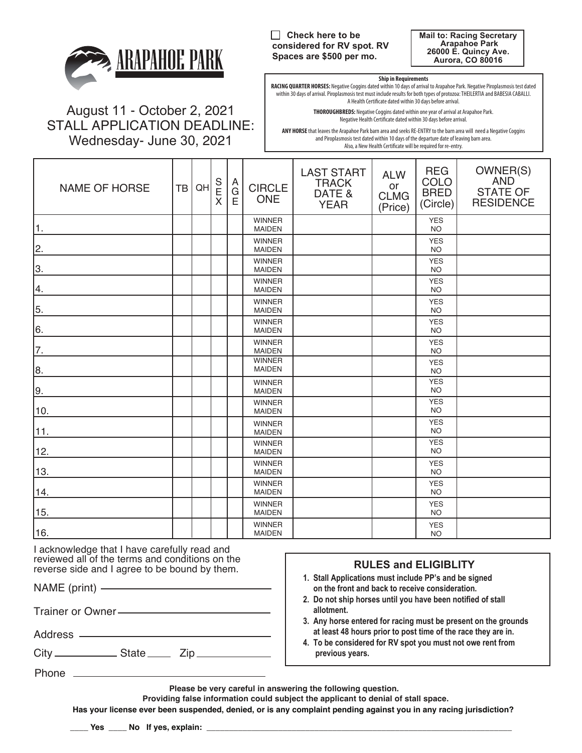

August 11 - October 2, 2021 STALL APPLICATION DEADLINE: Wednesday- June 30, 2021

**Check here to be considered for RV spot. RV Spaces are \$500 per mo.**

**Mail to: Racing Secretary Arapahoe Park 26000 E. Quincy Ave. Aurora, CO 80016**

#### **Ship in Requirements**

**RACING QUARTER HORSES:** Negative Coggins dated within 10 days of arrival to Arapahoe Park. Negative Piroplasmosis test dated within 30 days of arrival. Piroplasmosis test must include results for both types of protozoa: THEILERTIA and BABESIA CABALLI. A Health Certificate dated within 30 days before arrival.

> **THOROUGHBREDS:** Negative Coggins dated within one year of arrival at Arapahoe Park. Negative Health Certificate dated within 30 days before arrival.

**ANY HORSE** that leaves the Arapahoe Park barn area and seeks RE-ENTRY to the barn area will need a Negative Coggins and Piroplasmosis test dated within 10 days of the departure date of leaving barn area. Also, a New Health Certificate will be required for re-entry.

| <b>NAME OF HORSE</b> | TB | QH | S<br>E<br>X | A<br>G<br>E | <b>CIRCLE</b><br><b>ONE</b>    | <b>LAST START</b><br><b>TRACK</b><br>DATE &<br><b>YEAR</b> | <b>ALW</b><br>or<br><b>CLMG</b><br>(Price) | <b>REG</b><br><b>COLO</b><br><b>BRED</b><br>(Circle) | OWNER(S)<br><b>AND</b><br><b>STATE OF</b><br><b>RESIDENCE</b> |
|----------------------|----|----|-------------|-------------|--------------------------------|------------------------------------------------------------|--------------------------------------------|------------------------------------------------------|---------------------------------------------------------------|
| 1.                   |    |    |             |             | <b>WINNER</b><br><b>MAIDEN</b> |                                                            |                                            | <b>YES</b><br><b>NO</b>                              |                                                               |
| 2.                   |    |    |             |             | <b>WINNER</b><br><b>MAIDEN</b> |                                                            |                                            | <b>YES</b><br><b>NO</b>                              |                                                               |
| ΙЗ.                  |    |    |             |             | <b>WINNER</b><br><b>MAIDEN</b> |                                                            |                                            | <b>YES</b><br><b>NO</b>                              |                                                               |
| 4.                   |    |    |             |             | <b>WINNER</b><br><b>MAIDEN</b> |                                                            |                                            | <b>YES</b><br><b>NO</b>                              |                                                               |
| 55.                  |    |    |             |             | <b>WINNER</b><br><b>MAIDEN</b> |                                                            |                                            | <b>YES</b><br><b>NO</b>                              |                                                               |
| 66.                  |    |    |             |             | <b>WINNER</b><br><b>MAIDEN</b> |                                                            |                                            | <b>YES</b><br><b>NO</b>                              |                                                               |
| 17.                  |    |    |             |             | <b>WINNER</b><br><b>MAIDEN</b> |                                                            |                                            | <b>YES</b><br><b>NO</b>                              |                                                               |
| 8.                   |    |    |             |             | <b>WINNER</b><br><b>MAIDEN</b> |                                                            |                                            | <b>YES</b><br><b>NO</b>                              |                                                               |
| 9.                   |    |    |             |             | <b>WINNER</b><br><b>MAIDEN</b> |                                                            |                                            | <b>YES</b><br><b>NO</b>                              |                                                               |
| 10.                  |    |    |             |             | <b>WINNER</b><br><b>MAIDEN</b> |                                                            |                                            | <b>YES</b><br><b>NO</b>                              |                                                               |
| 11.                  |    |    |             |             | <b>WINNER</b><br><b>MAIDEN</b> |                                                            |                                            | <b>YES</b><br><b>NO</b>                              |                                                               |
| 12.                  |    |    |             |             | <b>WINNER</b><br><b>MAIDEN</b> |                                                            |                                            | <b>YES</b><br><b>NO</b>                              |                                                               |
| 13.                  |    |    |             |             | <b>WINNER</b><br><b>MAIDEN</b> |                                                            |                                            | <b>YES</b><br><b>NO</b>                              |                                                               |
| 14.                  |    |    |             |             | <b>WINNER</b><br><b>MAIDEN</b> |                                                            |                                            | <b>YES</b><br><b>NO</b>                              |                                                               |
| 15.                  |    |    |             |             | <b>WINNER</b><br><b>MAIDEN</b> |                                                            |                                            | <b>YES</b><br><b>NO</b>                              |                                                               |
| 16.                  |    |    |             |             | <b>WINNER</b><br><b>MAIDEN</b> |                                                            |                                            | <b>YES</b><br><b>NO</b>                              |                                                               |

I acknowledge that I have carefully read and reviewed all of the terms and conditions on the reverse side and I agree to be bound by them.

NAME (print)

Trainer or Owner

Address —

 $City$   $\_\_\_\_\$  State  $\_\_\_\$  Zip  $\_\_\_\$ 

## **RULES and ELIGIBLITY**

- **on the front and back to receive consideration. 1. Stall Applications must include PP's and be signed**
- **2. Do not ship horses until you have been notified of stall allotment.**
- **3. Any horse entered for racing must be present on the grounds at least 48 hours prior to post time of the race they are in.**
- **4. To be considered for RV spot you must not owe rent from previous years.**

Phone \_\_

**Please be very careful in answering the following question.**

 **Providing false information could subject the applicant to denial of stall space.**

**Has your license ever been suspended, denied, or is any complaint pending against you in any racing jurisdiction?**

 $\Box$  Yes  $\Box$  No If yes, explain: